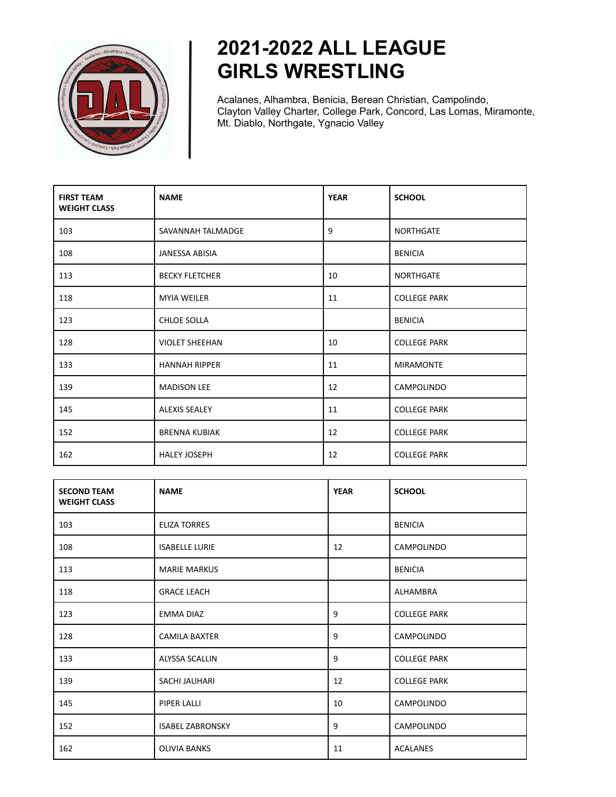

## **2021-2022 ALL LEAGUE GIRLS WRESTLING**

Acalanes, Alhambra, Benicia, Berean Christian, Campolindo, Clayton Valley Charter, College Park, Concord, Las Lomas, Miramonte, Mt. Diablo, Northgate, Ygnacio Valley

| <b>FIRST TEAM</b><br><b>WEIGHT CLASS</b> | <b>NAME</b>           | <b>YEAR</b> | <b>SCHOOL</b>       |
|------------------------------------------|-----------------------|-------------|---------------------|
| 103                                      | SAVANNAH TALMADGE     | 9           | <b>NORTHGATE</b>    |
| 108                                      | <b>JANESSA ABISIA</b> |             | <b>BENICIA</b>      |
| 113                                      | <b>BECKY FLETCHER</b> | 10          | <b>NORTHGATE</b>    |
| 118                                      | <b>MYIA WEILER</b>    | 11          | <b>COLLEGE PARK</b> |
| 123                                      | <b>CHLOE SOLLA</b>    |             | <b>BENICIA</b>      |
| 128                                      | <b>VIOLET SHEEHAN</b> | 10          | <b>COLLEGE PARK</b> |
| 133                                      | <b>HANNAH RIPPER</b>  | 11          | <b>MIRAMONTE</b>    |
| 139                                      | <b>MADISON LEE</b>    | 12          | CAMPOLINDO          |
| 145                                      | <b>ALEXIS SEALEY</b>  | 11          | <b>COLLEGE PARK</b> |
| 152                                      | <b>BRENNA KUBIAK</b>  | 12          | <b>COLLEGE PARK</b> |
| 162                                      | <b>HALEY JOSEPH</b>   | 12          | <b>COLLEGE PARK</b> |

| <b>SECOND TEAM</b><br><b>WEIGHT CLASS</b> | <b>NAME</b>             | <b>YEAR</b> | <b>SCHOOL</b>       |
|-------------------------------------------|-------------------------|-------------|---------------------|
| 103                                       | <b>ELIZA TORRES</b>     |             | <b>BENICIA</b>      |
| 108                                       | <b>ISABELLE LURIE</b>   | 12          | <b>CAMPOLINDO</b>   |
| 113                                       | <b>MARIE MARKUS</b>     |             | <b>BENICIA</b>      |
| 118                                       | <b>GRACE LEACH</b>      |             | ALHAMBRA            |
| 123                                       | <b>EMMA DIAZ</b>        | 9           | <b>COLLEGE PARK</b> |
| 128                                       | <b>CAMILA BAXTER</b>    | 9           | CAMPOLINDO          |
| 133                                       | ALYSSA SCALLIN          | 9           | <b>COLLEGE PARK</b> |
| 139                                       | SACHI JAUHARI           | 12          | <b>COLLEGE PARK</b> |
| 145                                       | PIPER LALLI             | 10          | CAMPOLINDO          |
| 152                                       | <b>ISABEL ZABRONSKY</b> | 9           | CAMPOLINDO          |
| 162                                       | <b>OLIVIA BANKS</b>     | 11          | <b>ACALANES</b>     |